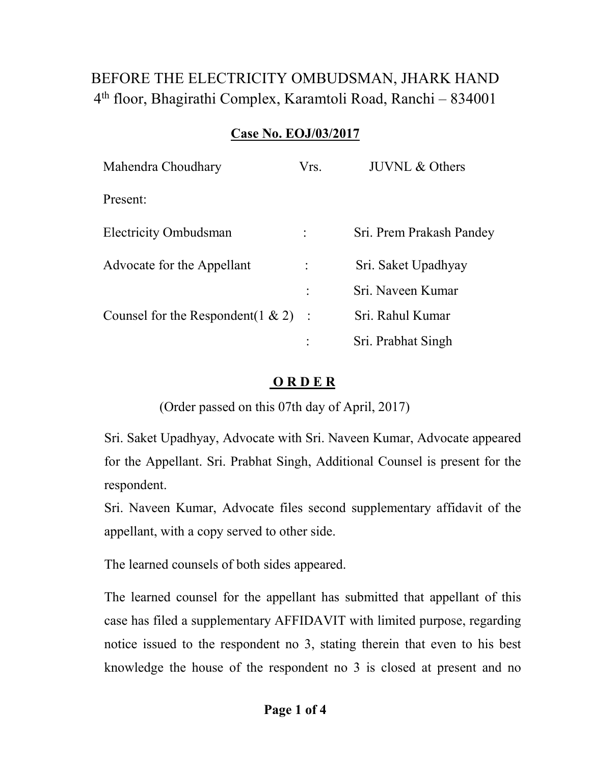## BEFORE THE ELECTRICITY OMBUDSMAN, JHARK HAND 4 th floor, Bhagirathi Complex, Karamtoli Road, Ranchi – 834001

## **Case No. EOJ/03/2017**

| Mahendra Choudhary                    | Vrs. | <b>JUVNL &amp; Others</b> |
|---------------------------------------|------|---------------------------|
| Present:                              |      |                           |
| <b>Electricity Ombudsman</b>          |      | Sri. Prem Prakash Pandey  |
| Advocate for the Appellant            |      | Sri. Saket Upadhyay       |
|                                       | ٠    | Sri, Naveen Kumar         |
| Counsel for the Respondent $(1 \& 2)$ |      | Sri. Rahul Kumar          |
|                                       |      | Sri. Prabhat Singh        |

## **O R D E R**

(Order passed on this 07th day of April, 2017)

Sri. Saket Upadhyay, Advocate with Sri. Naveen Kumar, Advocate appeared for the Appellant. Sri. Prabhat Singh, Additional Counsel is present for the respondent.

Sri. Naveen Kumar, Advocate files second supplementary affidavit of the appellant, with a copy served to other side.

The learned counsels of both sides appeared.

The learned counsel for the appellant has submitted that appellant of this case has filed a supplementary AFFIDAVIT with limited purpose, regarding notice issued to the respondent no 3, stating therein that even to his best knowledge the house of the respondent no 3 is closed at present and no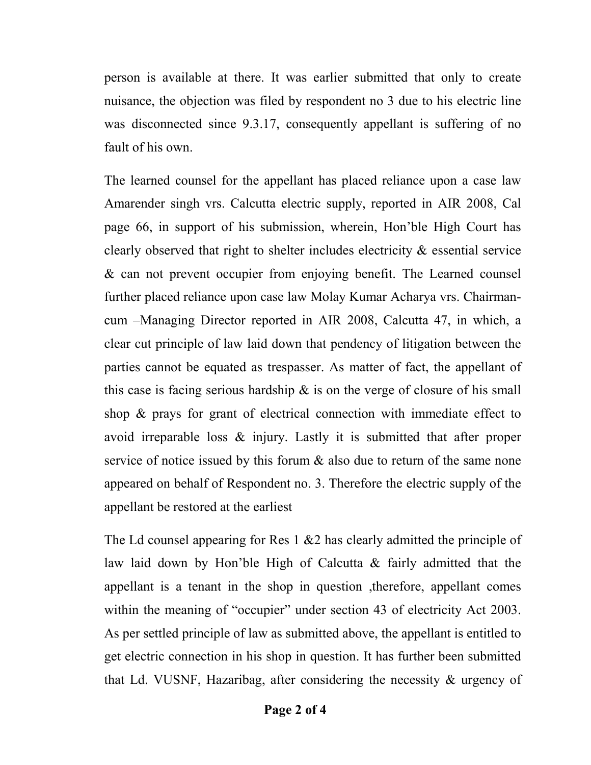person is available at there. It was earlier submitted that only to create nuisance, the objection was filed by respondent no 3 due to his electric line was disconnected since 9.3.17, consequently appellant is suffering of no fault of his own.

The learned counsel for the appellant has placed reliance upon a case law Amarender singh vrs. Calcutta electric supply, reported in AIR 2008, Cal page 66, in support of his submission, wherein, Hon'ble High Court has clearly observed that right to shelter includes electricity & essential service & can not prevent occupier from enjoying benefit. The Learned counsel further placed reliance upon case law Molay Kumar Acharya vrs. Chairmancum –Managing Director reported in AIR 2008, Calcutta 47, in which, a clear cut principle of law laid down that pendency of litigation between the parties cannot be equated as trespasser. As matter of fact, the appellant of this case is facing serious hardship  $\&$  is on the verge of closure of his small shop & prays for grant of electrical connection with immediate effect to avoid irreparable loss & injury. Lastly it is submitted that after proper service of notice issued by this forum  $\&$  also due to return of the same none appeared on behalf of Respondent no. 3. Therefore the electric supply of the appellant be restored at the earliest

The Ld counsel appearing for Res 1 & 2 has clearly admitted the principle of law laid down by Hon'ble High of Calcutta & fairly admitted that the appellant is a tenant in the shop in question ,therefore, appellant comes within the meaning of "occupier" under section 43 of electricity Act 2003. As per settled principle of law as submitted above, the appellant is entitled to get electric connection in his shop in question. It has further been submitted that Ld. VUSNF, Hazaribag, after considering the necessity & urgency of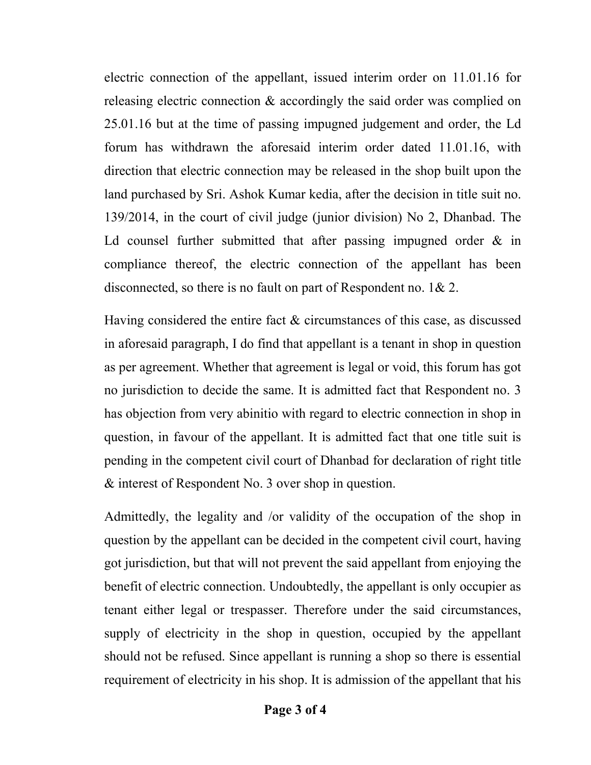electric connection of the appellant, issued interim order on 11.01.16 for releasing electric connection & accordingly the said order was complied on 25.01.16 but at the time of passing impugned judgement and order, the Ld forum has withdrawn the aforesaid interim order dated 11.01.16, with direction that electric connection may be released in the shop built upon the land purchased by Sri. Ashok Kumar kedia, after the decision in title suit no. 139/2014, in the court of civil judge (junior division) No 2, Dhanbad. The Ld counsel further submitted that after passing impugned order  $\&$  in compliance thereof, the electric connection of the appellant has been disconnected, so there is no fault on part of Respondent no. 1& 2.

Having considered the entire fact & circumstances of this case, as discussed in aforesaid paragraph, I do find that appellant is a tenant in shop in question as per agreement. Whether that agreement is legal or void, this forum has got no jurisdiction to decide the same. It is admitted fact that Respondent no. 3 has objection from very abinitio with regard to electric connection in shop in question, in favour of the appellant. It is admitted fact that one title suit is pending in the competent civil court of Dhanbad for declaration of right title & interest of Respondent No. 3 over shop in question.

Admittedly, the legality and /or validity of the occupation of the shop in question by the appellant can be decided in the competent civil court, having got jurisdiction, but that will not prevent the said appellant from enjoying the benefit of electric connection. Undoubtedly, the appellant is only occupier as tenant either legal or trespasser. Therefore under the said circumstances, supply of electricity in the shop in question, occupied by the appellant should not be refused. Since appellant is running a shop so there is essential requirement of electricity in his shop. It is admission of the appellant that his